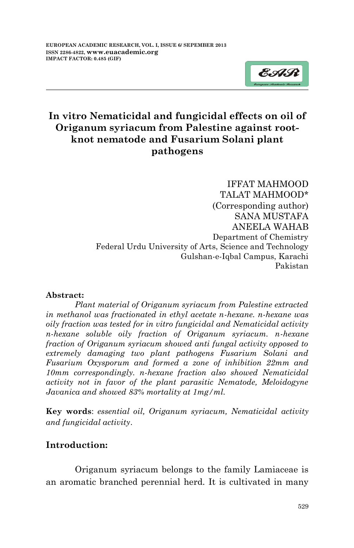

# **In vitro Nematicidal and fungicidal effects on oil of Origanum syriacum from Palestine against rootknot nematode and Fusarium Solani plant pathogens**

IFFAT MAHMOOD TALAT MAHMOOD\* (Corresponding author) SANA MUSTAFA ANEELA WAHAB Department of Chemistry Federal Urdu University of Arts, Science and Technology Gulshan-e-Iqbal Campus, Karachi Pakistan

#### **Abstract:**

*Plant material of Origanum syriacum from Palestine extracted in methanol was fractionated in ethyl acetate n-hexane. n-hexane was oily fraction was tested for in vitro fungicidal and Nematicidal activity n-hexane soluble oily fraction of Origanum syriacum. n-hexane fraction of Origanum syriacum showed anti fungal activity opposed to extremely damaging two plant pathogens Fusarium Solani and Fusarium Oxysporum and formed a zone of inhibition 22mm and 10mm correspondingly. n-hexane fraction also showed Nematicidal activity not in favor of the plant parasitic Nematode, Meloidogyne Javanica and showed 83% mortality at 1mg/ml.*

**Key words**: *essential oil, Origanum syriacum, Nematicidal activity and fungicidal activity*.

# **Introduction:**

Origanum syriacum belongs to the family Lamiaceae is an aromatic branched perennial herd. It is cultivated in many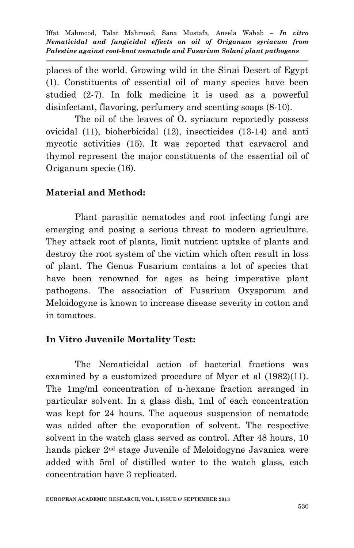places of the world. Growing wild in the Sinai Desert of Egypt (1). Constituents of essential oil of many species have been studied (2-7). In folk medicine it is used as a powerful disinfectant, flavoring, perfumery and scenting soaps (8-10).

The oil of the leaves of O. syriacum reportedly possess ovicidal (11), bioherbicidal (12), insecticides (13-14) and anti mycotic activities (15). It was reported that carvacrol and thymol represent the major constituents of the essential oil of Origanum specie (16).

# **Material and Method:**

Plant parasitic nematodes and root infecting fungi are emerging and posing a serious threat to modern agriculture. They attack root of plants, limit nutrient uptake of plants and destroy the root system of the victim which often result in loss of plant. The Genus Fusarium contains a lot of species that have been renowned for ages as being imperative plant pathogens. The association of Fusarium Oxysporum and Meloidogyne is known to increase disease severity in cotton and in tomatoes.

# **In Vitro Juvenile Mortality Test:**

The Nematicidal action of bacterial fractions was examined by a customized procedure of Myer et al (1982)(11). The 1mg/ml concentration of n-hexane fraction arranged in particular solvent. In a glass dish, 1ml of each concentration was kept for 24 hours. The aqueous suspension of nematode was added after the evaporation of solvent. The respective solvent in the watch glass served as control. After 48 hours, 10 hands picker 2<sup>nd</sup> stage Juvenile of Meloidogyne Javanica were added with 5ml of distilled water to the watch glass, each concentration have 3 replicated.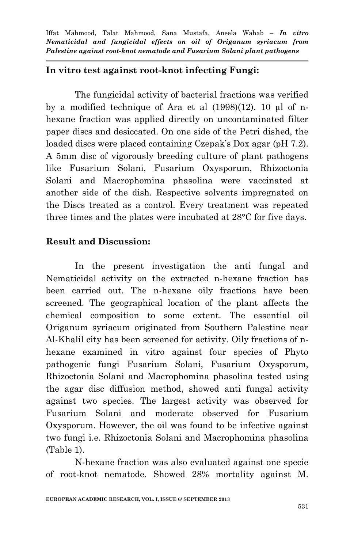### **In vitro test against root-knot infecting Fungi:**

The fungicidal activity of bacterial fractions was verified by a modified technique of Ara et al (1998)(12). 10 µl of nhexane fraction was applied directly on uncontaminated filter paper discs and desiccated. On one side of the Petri dished, the loaded discs were placed containing Czepak's Dox agar (pH 7.2). A 5mm disc of vigorously breeding culture of plant pathogens like Fusarium Solani, Fusarium Oxysporum, Rhizoctonia Solani and Macrophomina phasolina were vaccinated at another side of the dish. Respective solvents impregnated on the Discs treated as a control. Every treatment was repeated three times and the plates were incubated at 28°C for five days.

### **Result and Discussion:**

In the present investigation the anti fungal and Nematicidal activity on the extracted n-hexane fraction has been carried out. The n-hexane oily fractions have been screened. The geographical location of the plant affects the chemical composition to some extent. The essential oil Origanum syriacum originated from Southern Palestine near Al-Khalil city has been screened for activity. Oily fractions of nhexane examined in vitro against four species of Phyto pathogenic fungi Fusarium Solani, Fusarium Oxysporum, Rhizoctonia Solani and Macrophomina phasolina tested using the agar disc diffusion method, showed anti fungal activity against two species. The largest activity was observed for Fusarium Solani and moderate observed for Fusarium Oxysporum. However, the oil was found to be infective against two fungi i.e. Rhizoctonia Solani and Macrophomina phasolina (Table 1).

N-hexane fraction was also evaluated against one specie of root-knot nematode. Showed 28% mortality against M.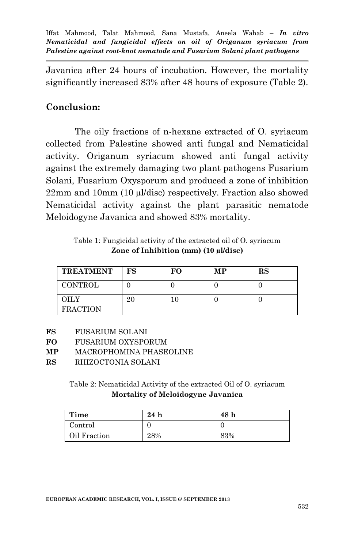Javanica after 24 hours of incubation. However, the mortality significantly increased 83% after 48 hours of exposure (Table 2).

# **Conclusion:**

The oily fractions of n-hexane extracted of O. syriacum collected from Palestine showed anti fungal and Nematicidal activity. Origanum syriacum showed anti fungal activity against the extremely damaging two plant pathogens Fusarium Solani, Fusarium Oxysporum and produced a zone of inhibition 22mm and 10mm (10 µl/disc) respectively. Fraction also showed Nematicidal activity against the plant parasitic nematode Meloidogyne Javanica and showed 83% mortality.

Table 1: Fungicidal activity of the extracted oil of O. syriacum **Zone of Inhibition (mm) (10 µl/disc)**

| <b>TREATMENT</b>        | FS | FО | MP | RS |
|-------------------------|----|----|----|----|
| <b>CONTROL</b>          |    |    |    |    |
| OILY<br><b>FRACTION</b> | 20 |    |    |    |

- **FS** FUSARIUM SOLANI
- **FO** FUSARIUM OXYSPORUM
- **MP** MACROPHOMINA PHASEOLINE
- **RS** RHIZOCTONIA SOLANI

Table 2: Nematicidal Activity of the extracted Oil of O. syriacum **Mortality of Meloidogyne Javanica**

| Time         | 24h | 48 h |
|--------------|-----|------|
| Control      |     |      |
| Oil Fraction | 28% | 83%  |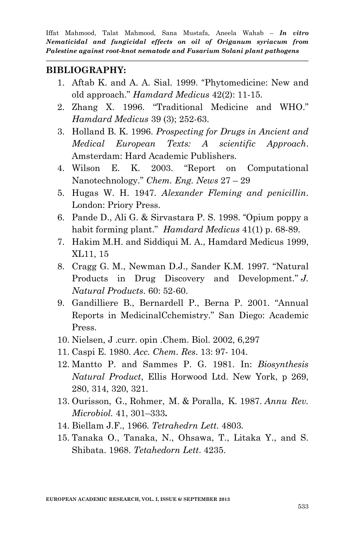#### **BIBLIOGRAPHY:**

- 1. Aftab K. and A. A. Sial. 1999. "Phytomedicine: New and old approach." *Hamdard Medicus* 42(2): 11-15.
- 2. Zhang X. 1996. "Traditional Medicine and WHO." *Hamdard Medicus* 39 (3); 252-63.
- 3. Holland B. K. 1996. *Prospecting for Drugs in Ancient and Medical European Texts: A scientific Approach*. Amsterdam: Hard Academic Publishers.
- 4. Wilson E. K. 2003. "Report on Computational Nanotechnology." *Chem. Eng. News* 27 – 29
- 5. Hugas W. H. 1947. *Alexander Fleming and penicillin*. London: Priory Press.
- 6. Pande D., Ali G. & Sirvastara P. S. 1998. "Opium poppy a habit forming plant." *Hamdard Medicus* 41(1) p. 68-89.
- 7. Hakim M.H. and Siddiqui M. A., Hamdard Medicus 1999, XL11, 15
- 8. Cragg G. M., Newman D.J., Sander K.M. 1997. "Natural Products in Drug Discovery and Development." *J. Natural Products*. 60: 52-60.
- 9. Gandilliere B., Bernardell P., Berna P. 2001. "Annual Reports in MedicinalCchemistry." San Diego: Academic Press.
- 10. Nielsen, J .curr. opin .Chem. Biol. 2002, 6,297
- 11. Caspi E. 1980. *Acc. Chem. Res*. 13: 97- 104.
- 12. Mantto P. and Sammes P. G. 1981. In: *Biosynthesis Natural Product*, Ellis Horwood Ltd. New York, p 269, 280, 314, 320, 321.
- 13. Ourisson, G., Rohmer, M. & Poralla, K. 1987. *Annu Rev. Microbiol.* 41, 301–333**.**
- 14. Biellam J.F., 1966. *Tetrahedrn Lett*. 4803.
- 15. Tanaka O., Tanaka, N., Ohsawa, T., Litaka Y., and S. Shibata. 1968. *Tetahedorn Lett*. 4235.